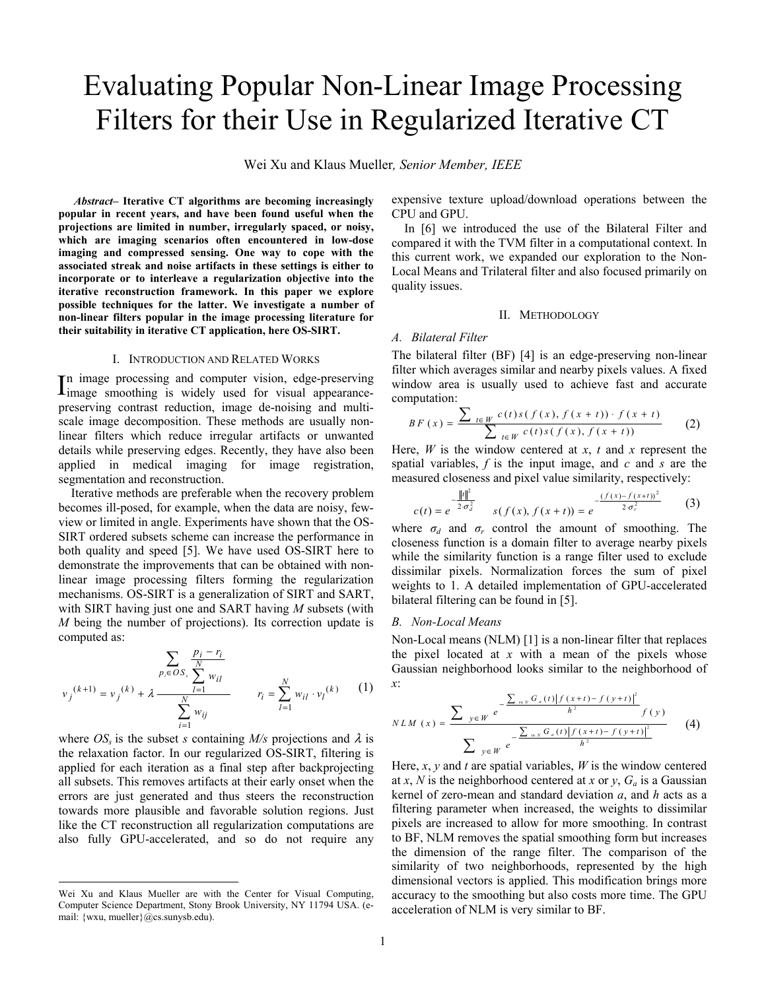# Evaluating Popular Non-Linear Image Processing Filters for their Use in Regularized Iterative CT

Wei Xu and Klaus Mueller*, Senior Member, IEEE* 

 *Abstract–* **Iterative CT algorithms are becoming increasingly popular in recent years, and have been found useful when the projections are limited in number, irregularly spaced, or noisy, which are imaging scenarios often encountered in low-dose imaging and compressed sensing. One way to cope with the associated streak and noise artifacts in these settings is either to incorporate or to interleave a regularization objective into the iterative reconstruction framework. In this paper we explore possible techniques for the latter. We investigate a number of non-linear filters popular in the image processing literature for their suitability in iterative CT application, here OS-SIRT.** 

#### I. INTRODUCTION AND RELATED WORKS

n image processing and computer vision, edge-preserving In image processing and computer vision, edge-preserving<br>limage smoothing is widely used for visual appearancepreserving contrast reduction, image de-noising and multiscale image decomposition. These methods are usually nonlinear filters which reduce irregular artifacts or unwanted details while preserving edges. Recently, they have also been applied in medical imaging for image registration, segmentation and reconstruction.

Iterative methods are preferable when the recovery problem becomes ill-posed, for example, when the data are noisy, fewview or limited in angle. Experiments have shown that the OS-SIRT ordered subsets scheme can increase the performance in both quality and speed [5]. We have used OS-SIRT here to demonstrate the improvements that can be obtained with nonlinear image processing filters forming the regularization mechanisms. OS-SIRT is a generalization of SIRT and SART, with SIRT having just one and SART having *M* subsets (with *M* being the number of projections). Its correction update is computed as:

$$
\sum_{p_i \in OS_i} \frac{p_i - r_i}{\sum_{l=1}^{N} w_{il}} \qquad \qquad v_j^{(k+1)} = v_j^{(k)} + \lambda \frac{\sum_{l=1}^{N} w_{il}}{\sum_{i=1}^{N} w_{ij}} \qquad \qquad r_i = \sum_{l=1}^{N} w_{il} \cdot v_l^{(k)} \qquad (1)
$$

where  $OS<sub>s</sub>$  is the subset *s* containing  $M/s$  projections and  $\lambda$  is the relaxation factor. In our regularized OS-SIRT, filtering is applied for each iteration as a final step after backprojecting all subsets. This removes artifacts at their early onset when the errors are just generated and thus steers the reconstruction towards more plausible and favorable solution regions. Just like the CT reconstruction all regularization computations are also fully GPU-accelerated, and so do not require any

-

expensive texture upload/download operations between the CPU and GPU.

In [6] we introduced the use of the Bilateral Filter and compared it with the TVM filter in a computational context. In this current work, we expanded our exploration to the Non-Local Means and Trilateral filter and also focused primarily on quality issues.

#### II. METHODOLOGY

# *A. Bilateral Filter*

The bilateral filter (BF) [4] is an edge-preserving non-linear filter which averages similar and nearby pixels values. A fixed window area is usually used to achieve fast and accurate computation:

$$
BF(x) = \frac{\sum_{t \in W} c(t)s(f(x), f(x + t)) \cdot f(x + t)}{\sum_{t \in W} c(t)s(f(x), f(x + t))}
$$
(2)

Here, *W* is the window centered at *x*, *t* and *x* represent the spatial variables, *f* is the input image, and *c* and *s* are the measured closeness and pixel value similarity, respectively:

$$
c(t) = e^{-\frac{\|t\|^2}{2\sigma_d^2}} \qquad s(f(x), f(x+t)) = e^{-\frac{(f(x) - f(x+t))^2}{2\sigma_r^2}} \qquad (3)
$$

where  $\sigma_d$  and  $\sigma_r$  control the amount of smoothing. The closeness function is a domain filter to average nearby pixels while the similarity function is a range filter used to exclude dissimilar pixels. Normalization forces the sum of pixel weights to 1. A detailed implementation of GPU-accelerated bilateral filtering can be found in [5].

#### *B. Non-Local Means*

Non-Local means (NLM) [1] is a non-linear filter that replaces the pixel located at *x* with a mean of the pixels whose Gaussian neighborhood looks similar to the neighborhood of *x*:  $\sum_{i=1}^{n} (a_i - a_i)^2 (b_i - a_i)^2 (c_i - a_i)^2$ 

$$
NLM(x) = \frac{\sum_{y \in W} e^{-\frac{\sum_{i \in N} G_a(t) |f(x+t) - f(y+t)|^2}{h^2} f(y)}}{\sum_{y \in W} e^{-\frac{\sum_{i \in N} G_a(t) |f(x+t) - f(y+t)|^2}{h^2}}}
$$
(4)

Here,  $x$ ,  $y$  and  $t$  are spatial variables,  $W$  is the window centered at *x*, *N* is the neighborhood centered at *x* or *y*,  $G_a$  is a Gaussian kernel of zero-mean and standard deviation *a*, and *h* acts as a filtering parameter when increased, the weights to dissimilar pixels are increased to allow for more smoothing. In contrast to BF, NLM removes the spatial smoothing form but increases the dimension of the range filter. The comparison of the similarity of two neighborhoods, represented by the high dimensional vectors is applied. This modification brings more accuracy to the smoothing but also costs more time. The GPU acceleration of NLM is very similar to BF.

Wei Xu and Klaus Mueller are with the Center for Visual Computing, Computer Science Department, Stony Brook University, NY 11794 USA. (email: {wxu, mueller}@cs.sunysb.edu).